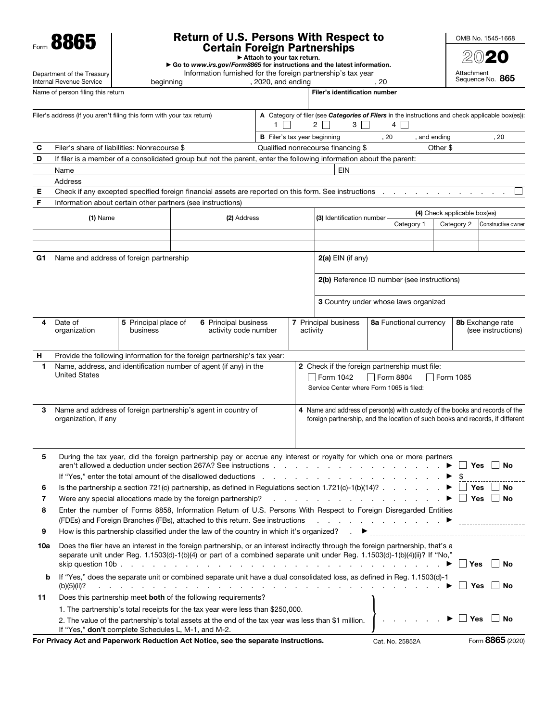Form 8865

Department of the Treasury Internal Revenue Service

## Return of U.S. Persons With Respect to Certain Foreign Partnerships ▶ Attach to your tax return.

▶ Go to *www.irs.gov/Form8865* for instructions and the latest information.

, 2020, and ending

Information furnished for the foreign partnership's tax year<br>beginning (2020, and ending (20

Name of person filing this return Filer's identification number

2020 Attachment Sequence No. 865

OMB No. 1545-1668

|     | Filer's address (if you aren't filing this form with your tax return)                                                                                                                                                                                  |                                  |                                              |                                                                                                                                                                                                                                                              | $\mathbf{1}$                        |          | 2 <sup>1</sup>                                                                   | 3 I I            | A Category of filer (see Categories of Filers in the instructions and check applicable box(es)):<br>4 |              |                                          |                                             |  |
|-----|--------------------------------------------------------------------------------------------------------------------------------------------------------------------------------------------------------------------------------------------------------|----------------------------------|----------------------------------------------|--------------------------------------------------------------------------------------------------------------------------------------------------------------------------------------------------------------------------------------------------------------|-------------------------------------|----------|----------------------------------------------------------------------------------|------------------|-------------------------------------------------------------------------------------------------------|--------------|------------------------------------------|---------------------------------------------|--|
|     |                                                                                                                                                                                                                                                        |                                  |                                              |                                                                                                                                                                                                                                                              | <b>B</b> Filer's tax year beginning |          |                                                                                  |                  | , 20                                                                                                  | , and ending |                                          | , 20                                        |  |
| С   | Filer's share of liabilities: Nonrecourse \$                                                                                                                                                                                                           |                                  |                                              |                                                                                                                                                                                                                                                              |                                     |          | Qualified nonrecourse financing \$                                               |                  |                                                                                                       | Other \$     |                                          |                                             |  |
| D   | If filer is a member of a consolidated group but not the parent, enter the following information about the parent:                                                                                                                                     |                                  |                                              |                                                                                                                                                                                                                                                              |                                     |          |                                                                                  |                  |                                                                                                       |              |                                          |                                             |  |
|     | Name                                                                                                                                                                                                                                                   |                                  |                                              |                                                                                                                                                                                                                                                              |                                     |          | <b>EIN</b>                                                                       |                  |                                                                                                       |              |                                          |                                             |  |
|     | Address                                                                                                                                                                                                                                                |                                  |                                              |                                                                                                                                                                                                                                                              |                                     |          |                                                                                  |                  |                                                                                                       |              |                                          |                                             |  |
| Ε   | Check if any excepted specified foreign financial assets are reported on this form. See instructions                                                                                                                                                   |                                  |                                              |                                                                                                                                                                                                                                                              |                                     |          |                                                                                  |                  |                                                                                                       |              |                                          |                                             |  |
| F   | Information about certain other partners (see instructions)                                                                                                                                                                                            |                                  |                                              |                                                                                                                                                                                                                                                              |                                     |          |                                                                                  |                  |                                                                                                       |              |                                          |                                             |  |
|     | $(1)$ Name                                                                                                                                                                                                                                             |                                  |                                              | (2) Address                                                                                                                                                                                                                                                  |                                     |          | (3) Identification number                                                        |                  |                                                                                                       |              | (4) Check applicable box(es)             |                                             |  |
|     |                                                                                                                                                                                                                                                        |                                  |                                              |                                                                                                                                                                                                                                                              |                                     |          |                                                                                  |                  | Category 1                                                                                            |              | Category 2                               | Constructive owner                          |  |
|     |                                                                                                                                                                                                                                                        |                                  |                                              |                                                                                                                                                                                                                                                              |                                     |          |                                                                                  |                  |                                                                                                       |              |                                          |                                             |  |
| G1  | Name and address of foreign partnership                                                                                                                                                                                                                |                                  |                                              |                                                                                                                                                                                                                                                              |                                     |          | $2(a)$ EIN (if any)                                                              |                  |                                                                                                       |              |                                          |                                             |  |
|     |                                                                                                                                                                                                                                                        |                                  |                                              |                                                                                                                                                                                                                                                              |                                     |          |                                                                                  |                  | 2(b) Reference ID number (see instructions)                                                           |              |                                          |                                             |  |
|     |                                                                                                                                                                                                                                                        |                                  |                                              |                                                                                                                                                                                                                                                              |                                     |          |                                                                                  |                  | 3 Country under whose laws organized                                                                  |              |                                          |                                             |  |
|     | Date of<br>organization                                                                                                                                                                                                                                | 5 Principal place of<br>business | 6 Principal business<br>activity code number |                                                                                                                                                                                                                                                              |                                     | activity | 7 Principal business                                                             |                  | 8a Functional currency                                                                                |              | 8b Exchange rate<br>(see instructions)   |                                             |  |
|     |                                                                                                                                                                                                                                                        |                                  |                                              |                                                                                                                                                                                                                                                              |                                     |          |                                                                                  |                  |                                                                                                       |              |                                          |                                             |  |
| н   | Provide the following information for the foreign partnership's tax year:                                                                                                                                                                              |                                  |                                              |                                                                                                                                                                                                                                                              |                                     |          |                                                                                  |                  |                                                                                                       |              |                                          |                                             |  |
| 1.  | Name, address, and identification number of agent (if any) in the<br>2 Check if the foreign partnership must file:<br><b>United States</b><br>$\vert$ Form 1042<br>$\Box$ Form 8804<br>Service Center where Form 1065 is filed:                        |                                  |                                              |                                                                                                                                                                                                                                                              |                                     |          |                                                                                  | $\Box$ Form 1065 |                                                                                                       |              |                                          |                                             |  |
| 3   | Name and address of foreign partnership's agent in country of<br>4 Name and address of person(s) with custody of the books and records of the<br>foreign partnership, and the location of such books and records, if different<br>organization, if any |                                  |                                              |                                                                                                                                                                                                                                                              |                                     |          |                                                                                  |                  |                                                                                                       |              |                                          |                                             |  |
| 5   |                                                                                                                                                                                                                                                        |                                  |                                              | During the tax year, did the foreign partnership pay or accrue any interest or royalty for which one or more partners<br>aren't allowed a deduction under section 267A? See instructions.                                                                    |                                     |          | and the company of the company of                                                |                  |                                                                                                       |              |                                          | │ │ Yes │ │ No                              |  |
| 6   |                                                                                                                                                                                                                                                        |                                  |                                              | Is the partnership a section 721(c) partnership, as defined in Regulations section 1.721(c)-1(b)(14)? $\ldots$                                                                                                                                               |                                     |          |                                                                                  |                  |                                                                                                       |              | <b>Yes</b>                               | <b>No</b>                                   |  |
| 7   |                                                                                                                                                                                                                                                        |                                  |                                              | Were any special allocations made by the foreign partnership?                                                                                                                                                                                                | $\cdot$ $\cdot$ $\cdot$             |          | $\mathbf{r}$ and $\mathbf{r}$ and $\mathbf{r}$ and $\mathbf{r}$ and $\mathbf{r}$ |                  |                                                                                                       |              | Yes                                      | No                                          |  |
| 8   |                                                                                                                                                                                                                                                        |                                  |                                              | Enter the number of Forms 8858, Information Return of U.S. Persons With Respect to Foreign Disregarded Entities                                                                                                                                              |                                     |          |                                                                                  |                  |                                                                                                       |              |                                          |                                             |  |
| 9   |                                                                                                                                                                                                                                                        |                                  |                                              | How is this partnership classified under the law of the country in which it's organized?                                                                                                                                                                     |                                     |          |                                                                                  | ▶                |                                                                                                       |              |                                          |                                             |  |
| 10a |                                                                                                                                                                                                                                                        |                                  |                                              | Does the filer have an interest in the foreign partnership, or an interest indirectly through the foreign partnership, that's a<br>separate unit under Reg. 1.1503(d)-1(b)(4) or part of a combined separate unit under Reg. 1.1503(d)-1(b)(4)(ii)? If "No," |                                     |          |                                                                                  |                  |                                                                                                       |              | $\blacktriangleright$ $\blacksquare$ Yes | ∣ ∣ No                                      |  |
| b   | If "Yes," does the separate unit or combined separate unit have a dual consolidated loss, as defined in Reg. 1.1503(d)-1<br>(b)(5)(ii)?                                                                                                                |                                  |                                              | de la caractería de la caractería de la caractería de la caractería de la caractería de la caractería                                                                                                                                                        |                                     |          |                                                                                  |                  |                                                                                                       |              |                                          | $\triangleright$ $\square$ Yes $\square$ No |  |
| 11  |                                                                                                                                                                                                                                                        |                                  |                                              | Does this partnership meet both of the following requirements?                                                                                                                                                                                               |                                     |          |                                                                                  |                  |                                                                                                       |              |                                          |                                             |  |
|     |                                                                                                                                                                                                                                                        |                                  |                                              | 1. The partnership's total receipts for the tax year were less than \$250,000.                                                                                                                                                                               |                                     |          |                                                                                  |                  |                                                                                                       |              |                                          |                                             |  |
|     | If "Yes," don't complete Schedules L, M-1, and M-2.                                                                                                                                                                                                    |                                  |                                              | 2. The value of the partnership's total assets at the end of the tax year was less than \$1 million.                                                                                                                                                         |                                     |          |                                                                                  |                  |                                                                                                       |              | $\blacktriangleright \Box$ Yes           | $\mathsf{I}$ No                             |  |
|     | For Privacy Act and Paperwork Reduction Act Notice, see the separate instructions.                                                                                                                                                                     |                                  |                                              |                                                                                                                                                                                                                                                              |                                     |          |                                                                                  |                  | Cat. No. 25852A                                                                                       |              |                                          | Form 8865 (2020)                            |  |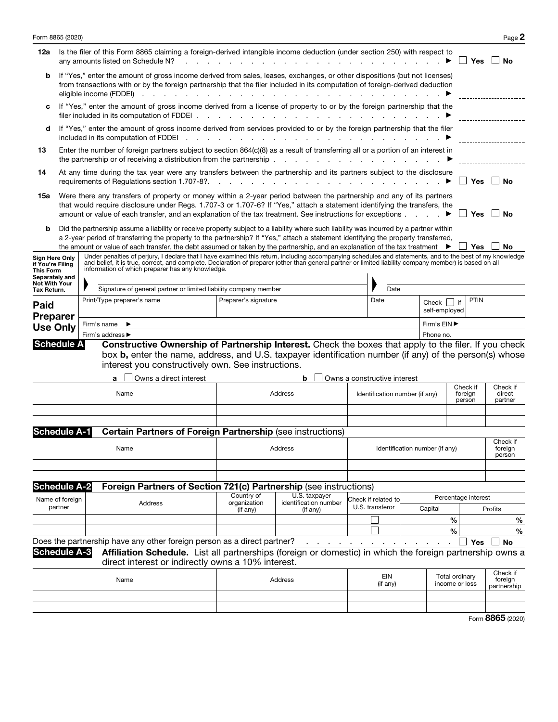| Form 8865 (2020)               |                                                                                                                                                                                                                                                                                                                                                                                                                                                                                                                                                                                                          |                                                                  |                                             |      |         |                        |                      |                      |                                                                                                                               |  |                                    |                                                                                                                                                                                                                                                                                                                                                                                                                                                                                                              |                                  |                                                                |                                                 |                                    |               |                     |         | Page 2             |
|--------------------------------|----------------------------------------------------------------------------------------------------------------------------------------------------------------------------------------------------------------------------------------------------------------------------------------------------------------------------------------------------------------------------------------------------------------------------------------------------------------------------------------------------------------------------------------------------------------------------------------------------------|------------------------------------------------------------------|---------------------------------------------|------|---------|------------------------|----------------------|----------------------|-------------------------------------------------------------------------------------------------------------------------------|--|------------------------------------|--------------------------------------------------------------------------------------------------------------------------------------------------------------------------------------------------------------------------------------------------------------------------------------------------------------------------------------------------------------------------------------------------------------------------------------------------------------------------------------------------------------|----------------------------------|----------------------------------------------------------------|-------------------------------------------------|------------------------------------|---------------|---------------------|---------|--------------------|
| 12a                            | Is the filer of this Form 8865 claiming a foreign-derived intangible income deduction (under section 250) with respect to<br>any amounts listed on Schedule N?                                                                                                                                                                                                                                                                                                                                                                                                                                           |                                                                  |                                             |      |         |                        |                      |                      |                                                                                                                               |  |                                    | Yes                                                                                                                                                                                                                                                                                                                                                                                                                                                                                                          |                                  | No                                                             |                                                 |                                    |               |                     |         |                    |
| b                              |                                                                                                                                                                                                                                                                                                                                                                                                                                                                                                                                                                                                          |                                                                  | eligible income (FDDEI) $\cdots$ $\cdots$   |      |         |                        |                      | $\sim$ $\sim$ $\sim$ | <b>Contract Contract</b>                                                                                                      |  | $\sim$ $ \sim$                     | If "Yes," enter the amount of gross income derived from sales, leases, exchanges, or other dispositions (but not licenses)<br>from transactions with or by the foreign partnership that the filer included in its computation of foreign-derived deduction                                                                                                                                                                                                                                                   |                                  |                                                                |                                                 |                                    |               |                     |         |                    |
| c                              |                                                                                                                                                                                                                                                                                                                                                                                                                                                                                                                                                                                                          |                                                                  | filer included in its computation of FDDEI. |      |         |                        |                      |                      |                                                                                                                               |  |                                    | If "Yes," enter the amount of gross income derived from a license of property to or by the foreign partnership that the                                                                                                                                                                                                                                                                                                                                                                                      |                                  |                                                                |                                                 |                                    |               |                     |         |                    |
| d                              |                                                                                                                                                                                                                                                                                                                                                                                                                                                                                                                                                                                                          |                                                                  | included in its computation of FDDEI        |      |         |                        | $\sim$ $\sim$        |                      | $\cdot$                                                                                                                       |  | $\sim$ $\sim$ $\sim$ $\sim$ $\sim$ | If "Yes," enter the amount of gross income derived from services provided to or by the foreign partnership that the filer                                                                                                                                                                                                                                                                                                                                                                                    |                                  |                                                                |                                                 |                                    |               |                     |         |                    |
| 13                             | Enter the number of foreign partners subject to section 864(c)(8) as a result of transferring all or a portion of an interest in<br>the partnership or of receiving a distribution from the partnership.<br>the contract of the contract of the contract of the                                                                                                                                                                                                                                                                                                                                          |                                                                  |                                             |      |         |                        |                      |                      |                                                                                                                               |  |                                    |                                                                                                                                                                                                                                                                                                                                                                                                                                                                                                              |                                  |                                                                |                                                 |                                    |               |                     |         |                    |
| 14                             | At any time during the tax year were any transfers between the partnership and its partners subject to the disclosure<br>requirements of Regulations section 1.707-8?.                                                                                                                                                                                                                                                                                                                                                                                                                                   |                                                                  |                                             |      |         |                        |                      |                      |                                                                                                                               |  |                                    | Yes                                                                                                                                                                                                                                                                                                                                                                                                                                                                                                          |                                  | No                                                             |                                                 |                                    |               |                     |         |                    |
| 15a<br>b                       |                                                                                                                                                                                                                                                                                                                                                                                                                                                                                                                                                                                                          |                                                                  |                                             |      |         |                        |                      |                      |                                                                                                                               |  |                                    | Were there any transfers of property or money within a 2-year period between the partnership and any of its partners<br>that would require disclosure under Regs. 1.707-3 or 1.707-6? If "Yes," attach a statement identifying the transfers, the<br>amount or value of each transfer, and an explanation of the tax treatment. See instructions for exceptions ▶<br>Did the partnership assume a liability or receive property subject to a liability where such liability was incurred by a partner within |                                  |                                                                |                                                 |                                    |               | Yes                 |         | ∣ ∣No              |
|                                |                                                                                                                                                                                                                                                                                                                                                                                                                                                                                                                                                                                                          |                                                                  |                                             |      |         |                        |                      |                      |                                                                                                                               |  |                                    | a 2-year period of transferring the property to the partnership? If "Yes," attach a statement identifying the property transferred,                                                                                                                                                                                                                                                                                                                                                                          |                                  |                                                                |                                                 |                                    |               |                     |         |                    |
| <b>Not With Your</b>           | the amount or value of each transfer, the debt assumed or taken by the partnership, and an explanation of the tax treatment $\blacktriangleright$<br>Under penalties of perjury, I declare that I have examined this return, including accompanying schedules and statements, and to the best of my knowledge<br>Sign Here Only<br>and belief, it is true, correct, and complete. Declaration of preparer (other than general partner or limited liability company member) is based on all<br>if You're Filing<br>information of which preparer has any knowledge.<br><b>This Form</b><br>Separately and |                                                                  |                                             |      |         |                        |                      |                      |                                                                                                                               |  | Yes                                |                                                                                                                                                                                                                                                                                                                                                                                                                                                                                                              | ∣ No                             |                                                                |                                                 |                                    |               |                     |         |                    |
| Tax Return.                    |                                                                                                                                                                                                                                                                                                                                                                                                                                                                                                                                                                                                          | Signature of general partner or limited liability company member |                                             |      |         |                        |                      |                      |                                                                                                                               |  |                                    |                                                                                                                                                                                                                                                                                                                                                                                                                                                                                                              | Date                             |                                                                |                                                 |                                    |               |                     |         |                    |
| <b>Paid</b><br><b>Preparer</b> |                                                                                                                                                                                                                                                                                                                                                                                                                                                                                                                                                                                                          | Print/Type preparer's name                                       |                                             |      |         |                        | Preparer's signature |                      |                                                                                                                               |  | Date                               |                                                                                                                                                                                                                                                                                                                                                                                                                                                                                                              |                                  |                                                                | PTIN<br>Check $\vert \vert$ if<br>self-employed |                                    |               |                     |         |                    |
| <b>Use Only</b>                |                                                                                                                                                                                                                                                                                                                                                                                                                                                                                                                                                                                                          |                                                                  | Firm's name $\blacktriangleright$           |      |         |                        |                      |                      |                                                                                                                               |  |                                    |                                                                                                                                                                                                                                                                                                                                                                                                                                                                                                              |                                  |                                                                |                                                 | Firm's EIN ▶                       |               |                     |         |                    |
|                                |                                                                                                                                                                                                                                                                                                                                                                                                                                                                                                                                                                                                          |                                                                  | Firm's address ▶                            |      |         |                        |                      |                      |                                                                                                                               |  |                                    |                                                                                                                                                                                                                                                                                                                                                                                                                                                                                                              |                                  |                                                                |                                                 | Phone no.                          |               |                     |         |                    |
| <b>Schedule A</b>              |                                                                                                                                                                                                                                                                                                                                                                                                                                                                                                                                                                                                          |                                                                  |                                             | Name |         | Owns a direct interest |                      |                      | interest you constructively own. See instructions.                                                                            |  | Address                            | Constructive Ownership of Partnership Interest. Check the boxes that apply to the filer. If you check<br>box <b>b</b> , enter the name, address, and U.S. taxpayer identification number (if any) of the person(s) whose<br>b                                                                                                                                                                                                                                                                                |                                  | Owns a constructive interest<br>Identification number (if any) |                                                 |                                    |               | Check if<br>foreign |         | Check if<br>direct |
|                                |                                                                                                                                                                                                                                                                                                                                                                                                                                                                                                                                                                                                          |                                                                  |                                             |      |         |                        |                      |                      |                                                                                                                               |  |                                    |                                                                                                                                                                                                                                                                                                                                                                                                                                                                                                              |                                  |                                                                | person                                          |                                    | partner       |                     |         |                    |
| <b>Schedule A-1</b>            |                                                                                                                                                                                                                                                                                                                                                                                                                                                                                                                                                                                                          |                                                                  |                                             |      |         |                        |                      |                      |                                                                                                                               |  |                                    | <b>Certain Partners of Foreign Partnership (see instructions)</b>                                                                                                                                                                                                                                                                                                                                                                                                                                            |                                  |                                                                |                                                 |                                    |               |                     |         | Check if           |
|                                |                                                                                                                                                                                                                                                                                                                                                                                                                                                                                                                                                                                                          |                                                                  |                                             | Name |         |                        |                      |                      |                                                                                                                               |  | Address                            |                                                                                                                                                                                                                                                                                                                                                                                                                                                                                                              |                                  |                                                                |                                                 | Identification number (if any)     |               |                     |         | foreign<br>person  |
| <b>Schedule A-2</b>            |                                                                                                                                                                                                                                                                                                                                                                                                                                                                                                                                                                                                          |                                                                  |                                             |      |         |                        |                      |                      |                                                                                                                               |  |                                    | Foreign Partners of Section 721(c) Partnership (see instructions)                                                                                                                                                                                                                                                                                                                                                                                                                                            |                                  |                                                                |                                                 |                                    |               |                     |         |                    |
|                                | Name of foreign                                                                                                                                                                                                                                                                                                                                                                                                                                                                                                                                                                                          |                                                                  |                                             |      |         |                        |                      |                      | Country of                                                                                                                    |  |                                    | U.S. taxpayer                                                                                                                                                                                                                                                                                                                                                                                                                                                                                                |                                  | Check if related to                                            |                                                 |                                    |               | Percentage interest |         |                    |
|                                | partner                                                                                                                                                                                                                                                                                                                                                                                                                                                                                                                                                                                                  |                                                                  |                                             |      | Address |                        |                      |                      | organization<br>(if any)                                                                                                      |  |                                    | identification number<br>(if any)                                                                                                                                                                                                                                                                                                                                                                                                                                                                            | U.S. transferor                  |                                                                |                                                 | Capital                            |               |                     | Profits |                    |
|                                |                                                                                                                                                                                                                                                                                                                                                                                                                                                                                                                                                                                                          |                                                                  |                                             |      |         |                        |                      |                      |                                                                                                                               |  |                                    |                                                                                                                                                                                                                                                                                                                                                                                                                                                                                                              |                                  |                                                                |                                                 |                                    | $\frac{0}{0}$ |                     |         | $\%$               |
|                                |                                                                                                                                                                                                                                                                                                                                                                                                                                                                                                                                                                                                          |                                                                  |                                             |      |         |                        |                      |                      |                                                                                                                               |  |                                    |                                                                                                                                                                                                                                                                                                                                                                                                                                                                                                              |                                  |                                                                |                                                 |                                    | $\frac{0}{0}$ |                     |         | $\frac{0}{0}$      |
| <b>Schedule A-3</b>            |                                                                                                                                                                                                                                                                                                                                                                                                                                                                                                                                                                                                          |                                                                  |                                             |      |         |                        |                      |                      | Does the partnership have any other foreign person as a direct partner?<br>direct interest or indirectly owns a 10% interest. |  |                                    | Affiliation Schedule. List all partnerships (foreign or domestic) in which the foreign partnership owns a                                                                                                                                                                                                                                                                                                                                                                                                    |                                  |                                                                |                                                 |                                    |               | Yes                 |         | <b>No</b>          |
| Name                           |                                                                                                                                                                                                                                                                                                                                                                                                                                                                                                                                                                                                          |                                                                  |                                             |      | Address |                        |                      |                      | EIN<br>(if any)                                                                                                               |  |                                    |                                                                                                                                                                                                                                                                                                                                                                                                                                                                                                              | Total ordinary<br>income or loss |                                                                |                                                 | Check if<br>foreign<br>partnership |               |                     |         |                    |
|                                |                                                                                                                                                                                                                                                                                                                                                                                                                                                                                                                                                                                                          |                                                                  |                                             |      |         |                        |                      |                      |                                                                                                                               |  |                                    |                                                                                                                                                                                                                                                                                                                                                                                                                                                                                                              |                                  |                                                                |                                                 |                                    |               |                     |         | Form 8865 (2020)   |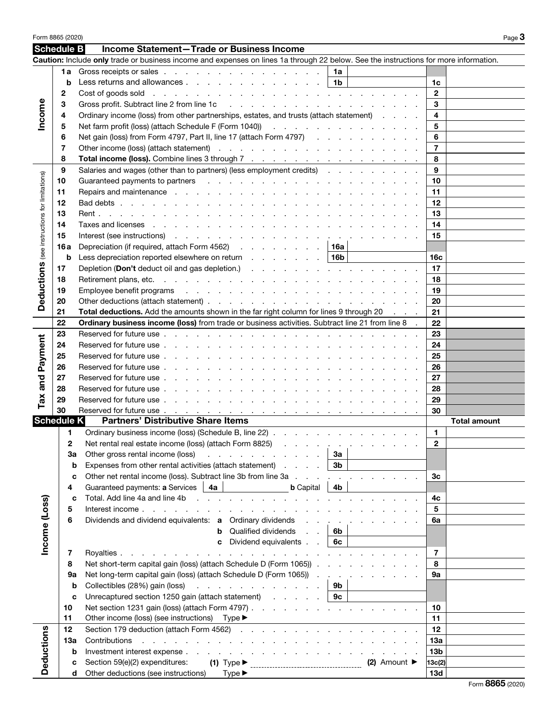| Form 8865 (2020)<br>Page 3         |                   |                                                                                                                                                                                                                                |                          |                                                                                           |                 |                     |  |  |  |
|------------------------------------|-------------------|--------------------------------------------------------------------------------------------------------------------------------------------------------------------------------------------------------------------------------|--------------------------|-------------------------------------------------------------------------------------------|-----------------|---------------------|--|--|--|
|                                    | Schedule B        | Income Statement-Trade or Business Income                                                                                                                                                                                      |                          |                                                                                           |                 |                     |  |  |  |
|                                    |                   | Caution: Include only trade or business income and expenses on lines 1a through 22 below. See the instructions for more information.                                                                                           |                          |                                                                                           |                 |                     |  |  |  |
|                                    | 1a                | Gross receipts or sales                                                                                                                                                                                                        | 1a                       |                                                                                           |                 |                     |  |  |  |
|                                    | b                 | Less returns and allowances                                                                                                                                                                                                    | 1b                       |                                                                                           | 1c              |                     |  |  |  |
| Income                             | 2                 | Cost of goods sold with a way with a way with a way with a way of goods sold with a way with a way with $\sim$                                                                                                                 |                          |                                                                                           | $\overline{2}$  |                     |  |  |  |
|                                    | 3                 | Gross profit. Subtract line 2 from line 1c (engine subseted by an application of the 2 from line 1c (engine subseted by a set of the set of the set of the set of the set of the set of the set of the set of the set of the s |                          |                                                                                           | 3               |                     |  |  |  |
|                                    | 4                 | Ordinary income (loss) from other partnerships, estates, and trusts (attach statement)                                                                                                                                         |                          | 4                                                                                         |                 |                     |  |  |  |
|                                    | 5                 | Net farm profit (loss) (attach Schedule F (Form 1040)) All Allen Allen Allen Allen Allen Allen Allen Allen All                                                                                                                 |                          | 5                                                                                         |                 |                     |  |  |  |
|                                    | 6                 | Net gain (loss) from Form 4797, Part II, line 17 (attach Form 4797)                                                                                                                                                            | 6                        |                                                                                           |                 |                     |  |  |  |
|                                    | 7                 |                                                                                                                                                                                                                                |                          |                                                                                           | 7               |                     |  |  |  |
|                                    | 8                 |                                                                                                                                                                                                                                |                          |                                                                                           | 8               |                     |  |  |  |
|                                    |                   |                                                                                                                                                                                                                                | 9                        |                                                                                           |                 |                     |  |  |  |
|                                    | 9                 | Salaries and wages (other than to partners) (less employment credits)                                                                                                                                                          |                          |                                                                                           |                 |                     |  |  |  |
|                                    | 10                | Guaranteed payments to partners enters and the contract of the contract of the contract of the contract of the contract of the contract of the contract of the contract of the contract of the contract of the contract of the |                          |                                                                                           | 10              |                     |  |  |  |
|                                    | 11                |                                                                                                                                                                                                                                |                          |                                                                                           | 11              |                     |  |  |  |
|                                    | 12                |                                                                                                                                                                                                                                |                          |                                                                                           | 12              |                     |  |  |  |
| (see instructions for limitations) | 13                |                                                                                                                                                                                                                                |                          |                                                                                           | 13              |                     |  |  |  |
|                                    | 14                | Taxes and licenses response to response the contract of the contract of the contract of the contract of the contract of the contract of the contract of the contract of the contract of the contract of the contract of the co |                          |                                                                                           | 14              |                     |  |  |  |
|                                    | 15                |                                                                                                                                                                                                                                |                          |                                                                                           | 15              |                     |  |  |  |
|                                    | 16 a              | Depreciation (if required, attach Form 4562) 16a                                                                                                                                                                               |                          |                                                                                           |                 |                     |  |  |  |
|                                    | b                 | Less depreciation reported elsewhere on return $\ldots$ $\ldots$ $\ldots$ $\mid$ 16b                                                                                                                                           |                          |                                                                                           | 16c             |                     |  |  |  |
|                                    | 17                | Depletion (Don't deduct oil and gas depletion.) (and a series and a series of the series of the Depletion of De                                                                                                                |                          |                                                                                           | 17              |                     |  |  |  |
| <b>Deductions</b>                  | 18                |                                                                                                                                                                                                                                |                          |                                                                                           | 18              |                     |  |  |  |
|                                    | 19                | Employee benefit programs response to the contract of the contract of the contract of the contract of the contract of the contract of the contract of the contract of the contract of the contract of the contract of the cont |                          | 19                                                                                        |                 |                     |  |  |  |
|                                    | 20                |                                                                                                                                                                                                                                |                          |                                                                                           | 20              |                     |  |  |  |
|                                    | 21                | Total deductions. Add the amounts shown in the far right column for lines 9 through 20                                                                                                                                         | 21                       |                                                                                           |                 |                     |  |  |  |
|                                    | 22                | Ordinary business income (loss) from trade or business activities. Subtract line 21 from line 8 .                                                                                                                              |                          |                                                                                           | 22              |                     |  |  |  |
|                                    | 23                |                                                                                                                                                                                                                                |                          |                                                                                           | 23              |                     |  |  |  |
|                                    | 24                |                                                                                                                                                                                                                                |                          |                                                                                           | 24              |                     |  |  |  |
|                                    | 25                |                                                                                                                                                                                                                                |                          |                                                                                           | 25              |                     |  |  |  |
| and Payment                        | 26                |                                                                                                                                                                                                                                |                          |                                                                                           | 26              |                     |  |  |  |
|                                    | 27                |                                                                                                                                                                                                                                | 27                       |                                                                                           |                 |                     |  |  |  |
|                                    | 28                |                                                                                                                                                                                                                                | 28                       |                                                                                           |                 |                     |  |  |  |
|                                    | 29                |                                                                                                                                                                                                                                | 29                       |                                                                                           |                 |                     |  |  |  |
| Tax                                | 30                |                                                                                                                                                                                                                                |                          |                                                                                           | 30              |                     |  |  |  |
|                                    | <b>Schedule K</b> | <b>Partners' Distributive Share Items</b>                                                                                                                                                                                      |                          |                                                                                           |                 | <b>Total amount</b> |  |  |  |
|                                    |                   |                                                                                                                                                                                                                                |                          |                                                                                           |                 |                     |  |  |  |
|                                    | 1                 | Ordinary business income (loss) (Schedule B, line 22)                                                                                                                                                                          |                          |                                                                                           | $\mathbf{1}$    |                     |  |  |  |
|                                    | 2                 | Net rental real estate income (loss) (attach Form 8825)                                                                                                                                                                        |                          |                                                                                           | $\mathbf{2}$    |                     |  |  |  |
|                                    | За                | Other gross rental income (loss)<br>the contract of the contract of the                                                                                                                                                        | За                       |                                                                                           |                 |                     |  |  |  |
|                                    | b                 | Expenses from other rental activities (attach statement)<br>and the control                                                                                                                                                    | 3 <sub>b</sub>           |                                                                                           |                 |                     |  |  |  |
|                                    | c                 | Other net rental income (loss). Subtract line 3b from line 3a .<br>$\sim$ $\sim$                                                                                                                                               |                          |                                                                                           | Зc              |                     |  |  |  |
|                                    | 4                 | Guaranteed payments: a Services<br><b>b</b> Capital<br>4a                                                                                                                                                                      | 4b                       |                                                                                           |                 |                     |  |  |  |
| Income (Loss)                      | C                 | Total. Add line 4a and line 4b                                                                                                                                                                                                 |                          | <b>Contract Contract Contract</b>                                                         | 4c              |                     |  |  |  |
|                                    | 5                 | Interest income.<br>the contract of the contract of the con-                                                                                                                                                                   |                          |                                                                                           | 5               |                     |  |  |  |
|                                    | 6                 | Dividends and dividend equivalents: a Ordinary dividends                                                                                                                                                                       | <b>Contract Contract</b> |                                                                                           | 6a              |                     |  |  |  |
|                                    |                   | Qualified dividends<br>b                                                                                                                                                                                                       | 6b                       |                                                                                           |                 |                     |  |  |  |
|                                    |                   | Dividend equivalents<br>c                                                                                                                                                                                                      | 6с                       |                                                                                           |                 |                     |  |  |  |
|                                    | 7                 | Royalties.<br>and a strain and a strain and<br>$\sim$<br>the contract of the contract of<br>$\sim$                                                                                                                             |                          |                                                                                           | $\overline{7}$  |                     |  |  |  |
|                                    | 8                 | Net short-term capital gain (loss) (attach Schedule D (Form 1065)).                                                                                                                                                            | and a state of           |                                                                                           | 8               |                     |  |  |  |
|                                    | 9a                | Net long-term capital gain (loss) (attach Schedule D (Form 1065)).                                                                                                                                                             | $\sim$                   |                                                                                           | 9а              |                     |  |  |  |
|                                    | b                 | Collectibles (28%) gain (loss)<br>the contract of the contract of the contract of the contract of the contract of the contract of the contract of                                                                              | 9b                       |                                                                                           |                 |                     |  |  |  |
|                                    | c                 | Unrecaptured section 1250 gain (attach statement)                                                                                                                                                                              | 9с                       |                                                                                           |                 |                     |  |  |  |
|                                    | 10                |                                                                                                                                                                                                                                |                          |                                                                                           | 10              |                     |  |  |  |
|                                    | 11                | Other income (loss) (see instructions)<br>$Type \blacktriangleright$                                                                                                                                                           |                          | 11                                                                                        |                 |                     |  |  |  |
|                                    | 12                |                                                                                                                                                                                                                                |                          | the control of the control of the control of the control of the control of the control of | 12              |                     |  |  |  |
|                                    | 13а               | Contributions<br>the contract of the contract of                                                                                                                                                                               |                          |                                                                                           | 13a             |                     |  |  |  |
|                                    | b                 |                                                                                                                                                                                                                                |                          |                                                                                           | 13 <sub>b</sub> |                     |  |  |  |
|                                    |                   |                                                                                                                                                                                                                                |                          | (2) Amount $\blacktriangleright$                                                          |                 |                     |  |  |  |
| <b>Deductions</b>                  | c                 | Section 59(e)(2) expenditures:<br>$(1)$ Type $\blacktriangleright$                                                                                                                                                             |                          |                                                                                           | 13c(2)          |                     |  |  |  |
|                                    | d                 | Other deductions (see instructions)<br>$Type \blacktriangleright$                                                                                                                                                              |                          |                                                                                           | 13d             |                     |  |  |  |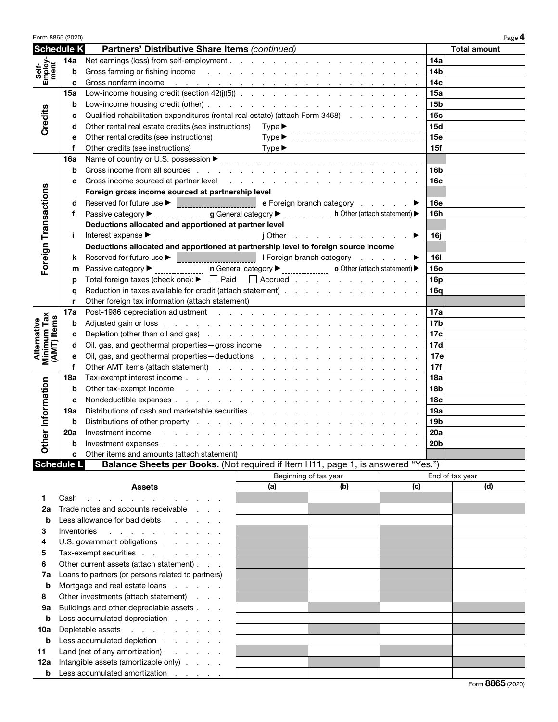| Form 8865 (2020)                          |             |                                                                                                                                                                                                                                |                                                     |                                                  |     |                 | Page 4              |
|-------------------------------------------|-------------|--------------------------------------------------------------------------------------------------------------------------------------------------------------------------------------------------------------------------------|-----------------------------------------------------|--------------------------------------------------|-----|-----------------|---------------------|
| Schedule K                                |             | Partners' Distributive Share Items (continued)                                                                                                                                                                                 |                                                     |                                                  |     |                 | <b>Total amount</b> |
|                                           | 14a         |                                                                                                                                                                                                                                |                                                     |                                                  |     | 14a             |                     |
| Self-<br>Employ-<br>ment                  | b           | Gross farming or fishing income enterstanding to the contract of the contract of the contract of the contract of the contract of the contract of the contract of the contract of the contract of the contract of the contract  |                                                     | 14 <sub>b</sub>                                  |     |                 |                     |
|                                           | c           | Gross nonfarm income exercise and a series of the series of the series of the series of the series of the series of the series of the series of the series of the series of the series of the series of the series of the seri |                                                     | 14 <sub>c</sub>                                  |     |                 |                     |
| Credits                                   | 15a         |                                                                                                                                                                                                                                |                                                     |                                                  |     | 15a             |                     |
|                                           | b           |                                                                                                                                                                                                                                |                                                     | 15 <sub>b</sub>                                  |     |                 |                     |
|                                           | c           | Qualified rehabilitation expenditures (rental real estate) (attach Form 3468)                                                                                                                                                  |                                                     | 15c                                              |     |                 |                     |
|                                           | d           |                                                                                                                                                                                                                                |                                                     | 15d                                              |     |                 |                     |
|                                           |             |                                                                                                                                                                                                                                | 15e                                                 |                                                  |     |                 |                     |
|                                           | е           | Other rental credits (see instructions)                                                                                                                                                                                        | $Type \blacktriangleright$                          |                                                  |     |                 |                     |
|                                           | f           | Other credits (see instructions)                                                                                                                                                                                               | $Type \blacktriangleright$                          |                                                  |     | 15f             |                     |
|                                           | 16a         |                                                                                                                                                                                                                                |                                                     |                                                  |     |                 |                     |
|                                           | b           |                                                                                                                                                                                                                                |                                                     | 16b                                              |     |                 |                     |
|                                           | c           | Gross income sourced at partner level entitled and a series of the series of the series of the series of the series of the series of the series of the series of the series of the series of the series of the series of the s |                                                     |                                                  |     | 16 <sub>c</sub> |                     |
|                                           |             | Foreign gross income sourced at partnership level                                                                                                                                                                              |                                                     |                                                  |     |                 |                     |
|                                           | d           |                                                                                                                                                                                                                                |                                                     | e Foreign branch category                        |     | <b>16e</b>      |                     |
|                                           | f           | Passive category $\blacktriangleright$                                                                                                                                                                                         | $g$ General category $\blacktriangleright$          | h Other (attach statement) $\blacktriangleright$ |     | 16h             |                     |
|                                           |             | Deductions allocated and apportioned at partner level                                                                                                                                                                          |                                                     |                                                  |     |                 |                     |
|                                           | Ť.          | Interest expense ▶                                                                                                                                                                                                             |                                                     | the contract of the contract of the              |     | 16i             |                     |
| Foreign Transactions                      |             | Deductions allocated and apportioned at partnership level to foreign source income                                                                                                                                             |                                                     |                                                  |     |                 |                     |
|                                           | k           | Reserved for future use ▶ <b>DECONDENT RESERVED THE RESERVED BEE I</b> Foreign branch category <b>DECONDENT</b> DECONDENT                                                                                                      |                                                     |                                                  |     | 16I             |                     |
|                                           | m           | Passive category ▶                                                                                                                                                                                                             | $\mathsf{n}$ General category $\blacktriangleright$ | • Other (attach statement) ▶                     |     | <b>16o</b>      |                     |
|                                           | р           | Total foreign taxes (check one): $\blacktriangleright$ $\Box$ Paid $\Box$ Accrued                                                                                                                                              |                                                     |                                                  |     | 16p             |                     |
|                                           | q           | Reduction in taxes available for credit (attach statement)                                                                                                                                                                     |                                                     |                                                  |     | 16a             |                     |
|                                           | r           | Other foreign tax information (attach statement)                                                                                                                                                                               |                                                     |                                                  |     |                 |                     |
|                                           | 17a         |                                                                                                                                                                                                                                |                                                     |                                                  |     | 17a             |                     |
|                                           | b           |                                                                                                                                                                                                                                |                                                     | 17 <sub>b</sub>                                  |     |                 |                     |
|                                           | c           |                                                                                                                                                                                                                                |                                                     | 17c                                              |     |                 |                     |
| Minimum Tax<br>(AMT) Items<br>Alternative | d           | Oil, gas, and geothermal properties - gross income                                                                                                                                                                             |                                                     | 17d                                              |     |                 |                     |
|                                           | е           | Oil, gas, and geothermal properties - deductions results in the case of the contract of the contract of the contract of the contract of the contract of the contract of the contract of the contract of the contract of the co |                                                     |                                                  |     | 17e             |                     |
|                                           | f           |                                                                                                                                                                                                                                |                                                     |                                                  |     | 17f             |                     |
|                                           | 18a         |                                                                                                                                                                                                                                |                                                     |                                                  |     | 18a             |                     |
| er Information                            | b           | Other tax-exempt income enters and a series and a series of the series of the series of the series of the series of the series of the series of the series of the series of the series of the series of the series of the seri |                                                     | 18 <sub>b</sub>                                  |     |                 |                     |
|                                           | c           |                                                                                                                                                                                                                                |                                                     | 18 <sub>c</sub>                                  |     |                 |                     |
|                                           | 19a         | Distributions of cash and marketable securities                                                                                                                                                                                |                                                     | 19a                                              |     |                 |                     |
|                                           | b           | Distributions of other property                                                                                                                                                                                                |                                                     | 19 <sub>b</sub>                                  |     |                 |                     |
|                                           | 20a         | Investment income                                                                                                                                                                                                              |                                                     |                                                  |     | 20a             |                     |
|                                           |             | Investment expenses                                                                                                                                                                                                            |                                                     |                                                  |     | 20 <sub>b</sub> |                     |
| る                                         | D<br>c      | Other items and amounts (attach statement)                                                                                                                                                                                     |                                                     |                                                  |     |                 |                     |
| <b>Schedule L</b>                         |             | Balance Sheets per Books. (Not required if Item H11, page 1, is answered "Yes.")                                                                                                                                               |                                                     |                                                  |     |                 |                     |
|                                           |             |                                                                                                                                                                                                                                |                                                     | Beginning of tax year                            |     |                 | End of tax year     |
|                                           |             | <b>Assets</b>                                                                                                                                                                                                                  | (a)                                                 | (b)                                              | (c) |                 | (d)                 |
|                                           |             |                                                                                                                                                                                                                                |                                                     |                                                  |     |                 |                     |
| 1.<br>2a                                  | Cash        | the contract of the contract of the contract of<br>Trade notes and accounts receivable                                                                                                                                         |                                                     |                                                  |     |                 |                     |
|                                           |             |                                                                                                                                                                                                                                |                                                     |                                                  |     |                 |                     |
| b                                         |             | Less allowance for bad debts                                                                                                                                                                                                   |                                                     |                                                  |     |                 |                     |
| З                                         | Inventories | the contract of the contract of                                                                                                                                                                                                |                                                     |                                                  |     |                 |                     |
| 4                                         |             | U.S. government obligations                                                                                                                                                                                                    |                                                     |                                                  |     |                 |                     |
| 5                                         |             | Tax-exempt securities                                                                                                                                                                                                          |                                                     |                                                  |     |                 |                     |
| 6                                         |             | Other current assets (attach statement)                                                                                                                                                                                        |                                                     |                                                  |     |                 |                     |
| 7a                                        |             | Loans to partners (or persons related to partners)                                                                                                                                                                             |                                                     |                                                  |     |                 |                     |
| b                                         |             | Mortgage and real estate loans                                                                                                                                                                                                 |                                                     |                                                  |     |                 |                     |
| 8                                         |             | Other investments (attach statement)<br>Buildings and other depreciable assets                                                                                                                                                 |                                                     |                                                  |     |                 |                     |
| 9a                                        |             |                                                                                                                                                                                                                                |                                                     |                                                  |     |                 |                     |
| b                                         |             | Less accumulated depreciation                                                                                                                                                                                                  |                                                     |                                                  |     |                 |                     |
| 10a                                       |             | Depletable assets                                                                                                                                                                                                              |                                                     |                                                  |     |                 |                     |
| b                                         |             | Less accumulated depletion                                                                                                                                                                                                     |                                                     |                                                  |     |                 |                     |
| 11                                        |             | Land (net of any amortization)                                                                                                                                                                                                 |                                                     |                                                  |     |                 |                     |
| 12a                                       |             | Intangible assets (amortizable only)                                                                                                                                                                                           |                                                     |                                                  |     |                 |                     |
| b                                         |             | Less accumulated amortization                                                                                                                                                                                                  |                                                     |                                                  |     |                 |                     |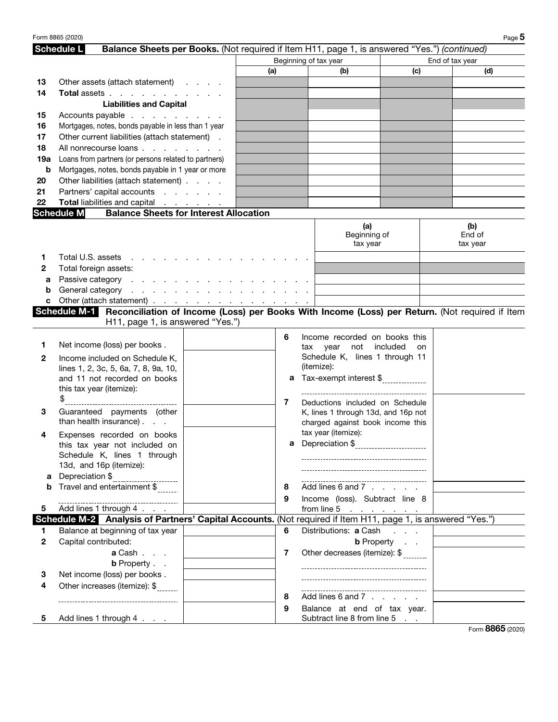|              | Form 8865 (2020)                                                                                            |                                                                                              |     |     |                                       |                   |                 | Page 5   |
|--------------|-------------------------------------------------------------------------------------------------------------|----------------------------------------------------------------------------------------------|-----|-----|---------------------------------------|-------------------|-----------------|----------|
|              | <b>Schedule L</b>                                                                                           | Balance Sheets per Books. (Not required if Item H11, page 1, is answered "Yes.") (continued) |     |     |                                       |                   |                 |          |
|              |                                                                                                             |                                                                                              |     |     | Beginning of tax year                 |                   | End of tax year |          |
|              |                                                                                                             |                                                                                              | (a) |     | (b)                                   | (c)               |                 | (d)      |
| 13           | Other assets (attach statement)                                                                             |                                                                                              |     |     |                                       |                   |                 |          |
| 14           | Total assets                                                                                                |                                                                                              |     |     |                                       |                   |                 |          |
|              | <b>Liabilities and Capital</b>                                                                              |                                                                                              |     |     |                                       |                   |                 |          |
| 15           | Accounts payable                                                                                            |                                                                                              |     |     |                                       |                   |                 |          |
| 16           | Mortgages, notes, bonds payable in less than 1 year                                                         |                                                                                              |     |     |                                       |                   |                 |          |
| 17           | Other current liabilities (attach statement).                                                               |                                                                                              |     |     |                                       |                   |                 |          |
| 18           | All nonrecourse loans                                                                                       |                                                                                              |     |     |                                       |                   |                 |          |
| 19a          | Loans from partners (or persons related to partners)                                                        |                                                                                              |     |     |                                       |                   |                 |          |
| b            | Mortgages, notes, bonds payable in 1 year or more                                                           |                                                                                              |     |     |                                       |                   |                 |          |
| 20           | Other liabilities (attach statement)                                                                        |                                                                                              |     |     |                                       |                   |                 |          |
| 21           | Partners' capital accounts                                                                                  |                                                                                              |     |     |                                       |                   |                 |          |
| 22           | Total liabilities and capital                                                                               |                                                                                              |     |     |                                       |                   |                 |          |
|              | <b>Schedule M</b>                                                                                           | <b>Balance Sheets for Interest Allocation</b>                                                |     |     |                                       |                   |                 |          |
|              |                                                                                                             |                                                                                              |     |     | (a)                                   |                   |                 | (b)      |
|              |                                                                                                             |                                                                                              |     |     | Beginning of                          |                   |                 | End of   |
|              |                                                                                                             |                                                                                              |     |     | tax year                              |                   |                 | tax year |
| 1            | Total U.S. assets<br>the contract of the contract of                                                        |                                                                                              |     |     |                                       |                   |                 |          |
| 2            | Total foreign assets:                                                                                       |                                                                                              |     |     |                                       |                   |                 |          |
| а            | Passive category                                                                                            |                                                                                              |     |     |                                       |                   |                 |          |
| b            |                                                                                                             |                                                                                              |     |     |                                       |                   |                 |          |
| c            | Other (attach statement) <u>.</u>                                                                           |                                                                                              |     |     |                                       |                   |                 |          |
|              | Schedule M-1 Reconciliation of Income (Loss) per Books With Income (Loss) per Return. (Not required if Item |                                                                                              |     |     |                                       |                   |                 |          |
|              | H11, page 1, is answered "Yes.")                                                                            |                                                                                              |     |     |                                       |                   |                 |          |
|              |                                                                                                             |                                                                                              | 6   |     | Income recorded on books this         |                   |                 |          |
| 1            | Net income (loss) per books.                                                                                |                                                                                              |     | tax | not included<br>year                  | on                |                 |          |
| 2            | Income included on Schedule K,                                                                              |                                                                                              |     |     | Schedule K, lines 1 through 11        |                   |                 |          |
|              | lines 1, 2, 3c, 5, 6a, 7, 8, 9a, 10,                                                                        |                                                                                              |     |     | (itemize):                            |                   |                 |          |
|              | and 11 not recorded on books                                                                                |                                                                                              |     |     | a Tax-exempt interest \$              |                   |                 |          |
|              | this tax year (itemize):                                                                                    |                                                                                              |     |     |                                       |                   |                 |          |
|              | ________________________________                                                                            |                                                                                              | 7   |     | Deductions included on Schedule       |                   |                 |          |
| 3            | Guaranteed payments (other                                                                                  |                                                                                              |     |     | K, lines 1 through 13d, and 16p not   |                   |                 |          |
|              | than health insurance).                                                                                     |                                                                                              |     |     | charged against book income this      |                   |                 |          |
| 4            | Expenses recorded on books                                                                                  |                                                                                              |     |     | tax year (itemize):                   |                   |                 |          |
|              | this tax year not included on                                                                               |                                                                                              |     |     |                                       |                   |                 |          |
|              | Schedule K, lines 1 through                                                                                 |                                                                                              |     |     |                                       |                   |                 |          |
|              | 13d, and 16p (itemize):                                                                                     |                                                                                              |     |     | ------------------------------------- |                   |                 |          |
| а            | Depreciation \$                                                                                             |                                                                                              |     |     |                                       |                   |                 |          |
| b            | Travel and entertainment \$                                                                                 |                                                                                              | 8   |     | Add lines 6 and 7                     |                   |                 |          |
|              | ----------------------------------                                                                          |                                                                                              | 9   |     | Income (loss). Subtract line 8        |                   |                 |          |
| 5.           | Add lines 1 through 4                                                                                       |                                                                                              |     |     | from line 5 $\cdots$ $\cdots$         |                   |                 |          |
|              | Schedule M-2 Analysis of Partners' Capital Accounts. (Not required if Item H11, page 1, is answered "Yes.") |                                                                                              |     |     |                                       |                   |                 |          |
| 1.           | Balance at beginning of tax year                                                                            |                                                                                              | 6   |     | Distributions: a Cash                 |                   |                 |          |
| $\mathbf{2}$ | Capital contributed:                                                                                        |                                                                                              |     |     |                                       | <b>b</b> Property |                 |          |
|              | a Cash                                                                                                      |                                                                                              | 7   |     | Other decreases (itemize): \$         |                   |                 |          |
|              | <b>b</b> Property                                                                                           |                                                                                              |     |     |                                       |                   |                 |          |
| 3            | Net income (loss) per books.                                                                                |                                                                                              |     |     |                                       |                   |                 |          |
| 4            | Other increases (itemize): \$                                                                               |                                                                                              |     |     |                                       |                   |                 |          |
|              | -----------------------------------                                                                         |                                                                                              | 8   |     | Add lines 6 and 7                     |                   |                 |          |
|              |                                                                                                             |                                                                                              | 9   |     | Balance at end of tax year.           |                   |                 |          |
| 5.           | Add lines 1 through 4                                                                                       |                                                                                              |     |     | Subtract line 8 from line 5           |                   |                 |          |

Form 8865 (2020)